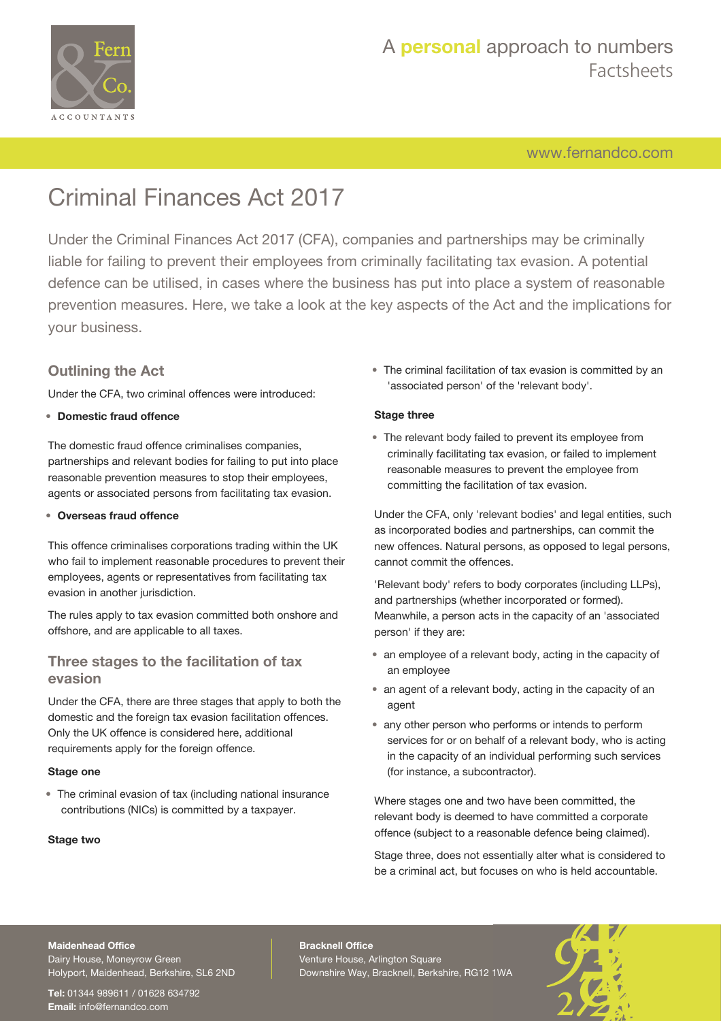

[www.fernandco.com](http://www.fernandco.com)

# Criminal Finances Act 2017

Under the Criminal Finances Act 2017 (CFA), companies and partnerships may be criminally liable for failing to prevent their employees from criminally facilitating tax evasion. A potential defence can be utilised, in cases where the business has put into place a system of reasonable prevention measures. Here, we take a look at the key aspects of the Act and the implications for your business.

### **Outlining the Act**

Under the CFA, two criminal offences were introduced:

### • **Domestic fraud offence**

The domestic fraud offence criminalises companies, partnerships and relevant bodies for failing to put into place reasonable prevention measures to stop their employees, agents or associated persons from facilitating tax evasion.

### • **Overseas fraud offence**

This offence criminalises corporations trading within the UK who fail to implement reasonable procedures to prevent their employees, agents or representatives from facilitating tax evasion in another jurisdiction.

The rules apply to tax evasion committed both onshore and offshore, and are applicable to all taxes.

### **Three stages to the facilitation of tax evasion**

Under the CFA, there are three stages that apply to both the domestic and the foreign tax evasion facilitation offences. Only the UK offence is considered here, additional requirements apply for the foreign offence.

#### **Stage one**

• The criminal evasion of tax (including national insurance contributions (NICs) is committed by a taxpayer.

#### **Stage two**

• The criminal facilitation of tax evasion is committed by an 'associated person' of the 'relevant body'.

### **Stage three**

• The relevant body failed to prevent its employee from criminally facilitating tax evasion, or failed to implement reasonable measures to prevent the employee from committing the facilitation of tax evasion.

Under the CFA, only 'relevant bodies' and legal entities, such as incorporated bodies and partnerships, can commit the new offences. Natural persons, as opposed to legal persons, cannot commit the offences.

'Relevant body' refers to body corporates (including LLPs), and partnerships (whether incorporated or formed). Meanwhile, a person acts in the capacity of an 'associated person' if they are:

- an employee of a relevant body, acting in the capacity of an employee
- an agent of a relevant body, acting in the capacity of an agent
- any other person who performs or intends to perform services for or on behalf of a relevant body, who is acting in the capacity of an individual performing such services (for instance, a subcontractor).

Where stages one and two have been committed, the relevant body is deemed to have committed a corporate offence (subject to a reasonable defence being claimed).

Stage three, does not essentially alter what is considered to be a criminal act, but focuses on who is held accountable.

#### **Maidenhead Office**

Dairy House, Moneyrow Green Holyport, Maidenhead, Berkshire, SL6 2ND

**Tel:** 01344 989611 / 01628 634792 **Email:** [info@fernandco.com](mailto:info@fernandco.com)

**Bracknell Office** Venture House, Arlington Square Downshire Way, Bracknell, Berkshire, RG12 1WA

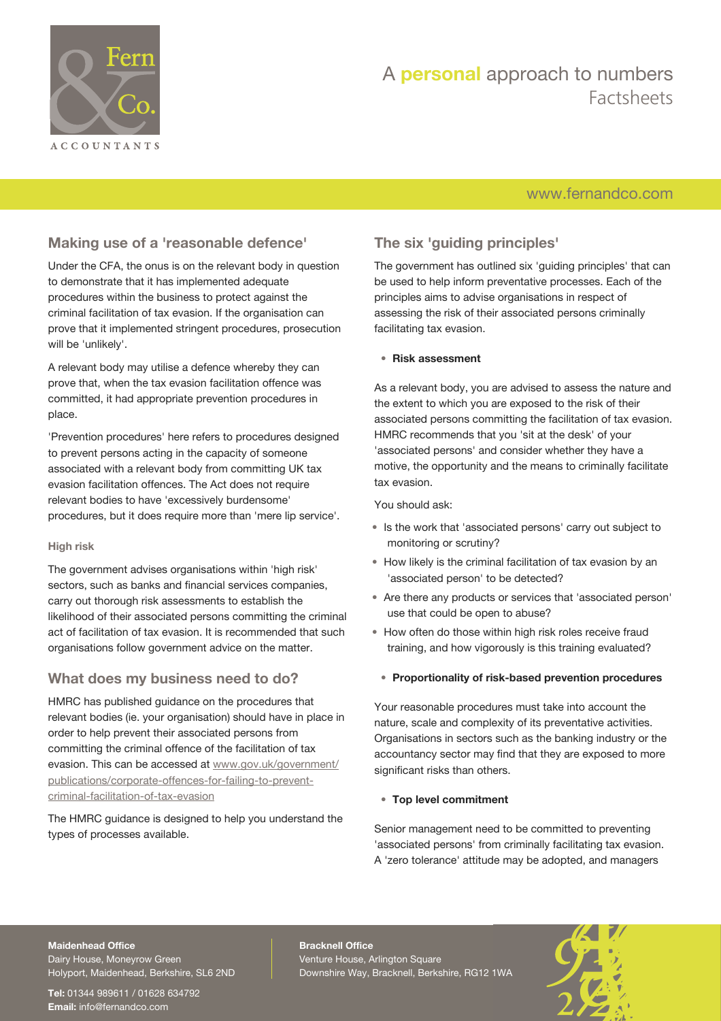

# A **personal** approach to numbers Factsheets

### [www.fernandco.com](http://www.fernandco.com)

### **Making use of a 'reasonable defence'**

Under the CFA, the onus is on the relevant body in question to demonstrate that it has implemented adequate procedures within the business to protect against the criminal facilitation of tax evasion. If the organisation can prove that it implemented stringent procedures, prosecution will be 'unlikely'.

A relevant body may utilise a defence whereby they can prove that, when the tax evasion facilitation offence was committed, it had appropriate prevention procedures in place.

'Prevention procedures' here refers to procedures designed to prevent persons acting in the capacity of someone associated with a relevant body from committing UK tax evasion facilitation offences. The Act does not require relevant bodies to have 'excessively burdensome' procedures, but it does require more than 'mere lip service'.

### **High risk**

The government advises organisations within 'high risk' sectors, such as banks and financial services companies, carry out thorough risk assessments to establish the likelihood of their associated persons committing the criminal act of facilitation of tax evasion. It is recommended that such organisations follow government advice on the matter.

### **What does my business need to do?**

HMRC has published guidance on the procedures that relevant bodies (ie. your organisation) should have in place in order to help prevent their associated persons from committing the criminal offence of the facilitation of tax evasion. This can be accessed at [www.gov.uk/government/](https://www.gov.uk/government/publications/corporate-offences-for-failing-to-prevent-criminal-facilitation-of-tax-evasion) [publications/corporate-offences-for-failing-to-prevent](https://www.gov.uk/government/publications/corporate-offences-for-failing-to-prevent-criminal-facilitation-of-tax-evasion)[criminal-facilitation-of-tax-evasion](https://www.gov.uk/government/publications/corporate-offences-for-failing-to-prevent-criminal-facilitation-of-tax-evasion)

The HMRC guidance is designed to help you understand the types of processes available.

### **The six 'guiding principles'**

The government has outlined six 'guiding principles' that can be used to help inform preventative processes. Each of the principles aims to advise organisations in respect of assessing the risk of their associated persons criminally facilitating tax evasion.

### • **Risk assessment**

As a relevant body, you are advised to assess the nature and the extent to which you are exposed to the risk of their associated persons committing the facilitation of tax evasion. HMRC recommends that you 'sit at the desk' of your 'associated persons' and consider whether they have a motive, the opportunity and the means to criminally facilitate tax evasion.

You should ask:

- Is the work that 'associated persons' carry out subject to monitoring or scrutiny?
- How likely is the criminal facilitation of tax evasion by an 'associated person' to be detected?
- Are there any products or services that 'associated person' use that could be open to abuse?
- How often do those within high risk roles receive fraud training, and how vigorously is this training evaluated?

#### • **Proportionality of risk-based prevention procedures**

Your reasonable procedures must take into account the nature, scale and complexity of its preventative activities. Organisations in sectors such as the banking industry or the accountancy sector may find that they are exposed to more significant risks than others.

### • **Top level commitment**

Senior management need to be committed to preventing 'associated persons' from criminally facilitating tax evasion. A 'zero tolerance' attitude may be adopted, and managers

### **Maidenhead Office**

Dairy House, Moneyrow Green Holyport, Maidenhead, Berkshire, SL6 2ND

**Tel:** 01344 989611 / 01628 634792 **Email:** [info@fernandco.com](mailto:info@fernandco.com)

**Bracknell Office** Venture House, Arlington Square Downshire Way, Bracknell, Berkshire, RG12 1WA